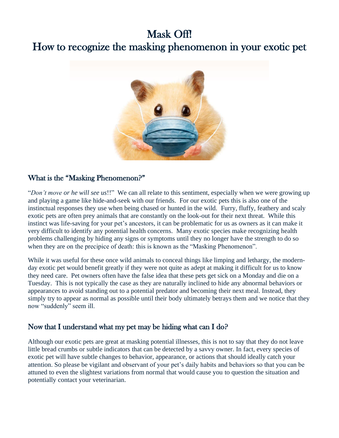# Mask Off!

# How to recognize the masking phenomenon in your exotic pet



#### What is the "Masking Phenomenon?"

"*Don't move or he will see us*!!" We can all relate to this sentiment, especially when we were growing up and playing a game like hide-and-seek with our friends. For our exotic pets this is also one of the instinctual responses they use when being chased or hunted in the wild. Furry, fluffy, feathery and scaly exotic pets are often prey animals that are constantly on the look-out for their next threat. While this instinct was life-saving for your pet's ancestors, it can be problematic for us as owners as it can make it very difficult to identify any potential health concerns. Many exotic species make recognizing health problems challenging by hiding any signs or symptoms until they no longer have the strength to do so when they are on the precipice of death: this is known as the "Masking Phenomenon".

While it was useful for these once wild animals to conceal things like limping and lethargy, the modernday exotic pet would benefit greatly if they were not quite as adept at making it difficult for us to know they need care. Pet owners often have the false idea that these pets get sick on a Monday and die on a Tuesday. This is not typically the case as they are naturally inclined to hide any abnormal behaviors or appearances to avoid standing out to a potential predator and becoming their next meal. Instead, they simply try to appear as normal as possible until their body ultimately betrays them and we notice that they now "suddenly" seem ill.

## Now that I understand what my pet may be hiding what can I do?

Although our exotic pets are great at masking potential illnesses, this is not to say that they do not leave little bread crumbs or subtle indicators that can be detected by a savvy owner. In fact, every species of exotic pet will have subtle changes to behavior, appearance, or actions that should ideally catch your attention. So please be vigilant and observant of your pet's daily habits and behaviors so that you can be attuned to even the slightest variations from normal that would cause you to question the situation and potentially contact your veterinarian.